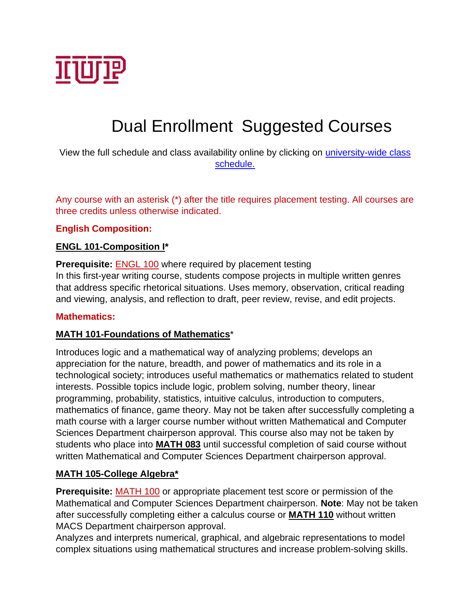

# Dual Enrollment Suggested Courses

View the full schedule and class availability online by clicking on *university-wide class* [schedule.](https://xe.banner.iup.edu/StudentRegistrationSsb/ssb/term/termSelection?mode=search)

Any course with an asterisk (\*) after the title requires placement testing. All courses are three credits unless otherwise indicated.

#### **English Composition:**

#### **ENGL 101-Composition I\***

**Prerequisite: [ENGL](https://catalog.iup.edu/content.php?filter%5B27%5D=ENGL&filter%5B29%5D=101&filter%5Bcourse_type%5D=-1&filter%5Bkeyword%5D=&filter%5B32%5D=1&filter%5Bcpage%5D=1&cur_cat_oid=6&expand=&navoid=841&search_database=Filter&filter%5Bexact_match%5D=1#tt6141) 100** where required by placement testing In this first-year writing course, students compose projects in multiple written genres that address specific rhetorical situations. Uses memory, observation, critical reading and viewing, analysis, and reflection to draft, peer review, revise, and edit projects.

#### **Mathematics:**

#### **MATH 101-Foundations of Mathematics**\*

Introduces logic and a mathematical way of analyzing problems; develops an appreciation for the nature, breadth, and power of mathematics and its role in a technological society; introduces useful mathematics or mathematics related to student interests. Possible topics include logic, problem solving, number theory, linear programming, probability, statistics, intuitive calculus, introduction to computers, mathematics of finance, game theory. May not be taken after successfully completing a math course with a larger course number without written Mathematical and Computer Sciences Department chairperson approval. This course also may not be taken by students who place into **[MATH](https://catalog.iup.edu/content.php?filter%5B27%5D=MATH&filter%5B29%5D=101&filter%5Bcourse_type%5D=-1&filter%5Bkeyword%5D=&filter%5B32%5D=1&filter%5Bcpage%5D=1&cur_cat_oid=6&expand=&navoid=841&search_database=Filter&filter%5Bexact_match%5D=1#tt6625) 083** until successful completion of said course without written Mathematical and Computer Sciences Department chairperson approval.

#### **MATH 105-College Algebra\***

**Prerequisite:** [MATH](https://catalog.iup.edu/content.php?filter%5B27%5D=MATH&filter%5B29%5D=105&filter%5Bcourse_type%5D=-1&filter%5Bkeyword%5D=&filter%5B32%5D=1&filter%5Bcpage%5D=1&cur_cat_oid=6&expand=&navoid=841&search_database=Filter&filter%5Bexact_match%5D=1#tt8180) 100 or appropriate placement test score or permission of the Mathematical and Computer Sciences Department chairperson. **Note**: May not be taken after successfully completing either a calculus course or **[MATH](https://catalog.iup.edu/preview_course_nopop.php?catoid=6&coid=21551) 110** without written MACS Department chairperson approval.

Analyzes and interprets numerical, graphical, and algebraic representations to model complex situations using mathematical structures and increase problem-solving skills.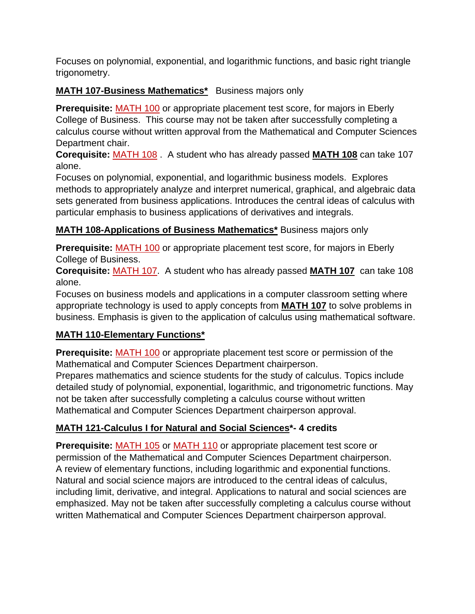Focuses on polynomial, exponential, and logarithmic functions, and basic right triangle trigonometry.

# **MATH 107-Business Mathematics\*** Business majors only

**Prerequisite:** [MATH](https://catalog.iup.edu/content.php?filter%5B27%5D=MATH&filter%5B29%5D=107&filter%5Bcourse_type%5D=-1&filter%5Bkeyword%5D=&filter%5B32%5D=1&filter%5Bcpage%5D=1&cur_cat_oid=6&expand=&navoid=841&search_database=Filter&filter%5Bexact_match%5D=1#tt7707) 100 or appropriate placement test score, for majors in Eberly College of Business. This course may not be taken after successfully completing a calculus course without written approval from the Mathematical and Computer Sciences Department chair.

**Corequisite:** [MATH](https://catalog.iup.edu/content.php?filter%5B27%5D=MATH&filter%5B29%5D=107&filter%5Bcourse_type%5D=-1&filter%5Bkeyword%5D=&filter%5B32%5D=1&filter%5Bcpage%5D=1&cur_cat_oid=6&expand=&navoid=841&search_database=Filter&filter%5Bexact_match%5D=1#tt8430) 108 . A student who has already passed **[MATH](https://catalog.iup.edu/content.php?filter%5B27%5D=MATH&filter%5B29%5D=107&filter%5Bcourse_type%5D=-1&filter%5Bkeyword%5D=&filter%5B32%5D=1&filter%5Bcpage%5D=1&cur_cat_oid=6&expand=&navoid=841&search_database=Filter&filter%5Bexact_match%5D=1#tt9295) 108** can take 107 alone.

Focuses on polynomial, exponential, and logarithmic business models. Explores methods to appropriately analyze and interpret numerical, graphical, and algebraic data sets generated from business applications. Introduces the central ideas of calculus with particular emphasis to business applications of derivatives and integrals.

# **MATH 108-Applications of Business Mathematics\*** Business majors only

**Prerequisite:** [MATH](https://catalog.iup.edu/content.php?filter%5B27%5D=MATH&filter%5B29%5D=108&filter%5Bcourse_type%5D=-1&filter%5Bkeyword%5D=&filter%5B32%5D=1&filter%5Bcpage%5D=1&cur_cat_oid=6&expand=&navoid=841&search_database=Filter&filter%5Bexact_match%5D=1#tt9837) 100 or appropriate placement test score, for majors in Eberly College of Business.

**Corequisite:** [MATH](https://catalog.iup.edu/content.php?filter%5B27%5D=MATH&filter%5B29%5D=108&filter%5Bcourse_type%5D=-1&filter%5Bkeyword%5D=&filter%5B32%5D=1&filter%5Bcpage%5D=1&cur_cat_oid=6&expand=&navoid=841&search_database=Filter&filter%5Bexact_match%5D=1#tt1709) 107. A student who has already passed **[MATH](https://catalog.iup.edu/content.php?filter%5B27%5D=MATH&filter%5B29%5D=108&filter%5Bcourse_type%5D=-1&filter%5Bkeyword%5D=&filter%5B32%5D=1&filter%5Bcpage%5D=1&cur_cat_oid=6&expand=&navoid=841&search_database=Filter&filter%5Bexact_match%5D=1#tt346) 107** can take 108 alone.

Focuses on business models and applications in a computer classroom setting where appropriate technology is used to apply concepts from **[MATH](https://catalog.iup.edu/content.php?filter%5B27%5D=MATH&filter%5B29%5D=108&filter%5Bcourse_type%5D=-1&filter%5Bkeyword%5D=&filter%5B32%5D=1&filter%5Bcpage%5D=1&cur_cat_oid=6&expand=&navoid=841&search_database=Filter&filter%5Bexact_match%5D=1#tt2585) 107** to solve problems in business. Emphasis is given to the application of calculus using mathematical software.

# **MATH 110-Elementary Functions\***

**Prerequisite:** [MATH](https://catalog.iup.edu/content.php?filter%5B27%5D=MATH&filter%5B29%5D=110&filter%5Bcourse_type%5D=-1&filter%5Bkeyword%5D=&filter%5B32%5D=1&filter%5Bcpage%5D=1&cur_cat_oid=6&expand=&navoid=841&search_database=Filter&filter%5Bexact_match%5D=1#tt4276) 100 or appropriate placement test score or permission of the Mathematical and Computer Sciences Department chairperson.

Prepares mathematics and science students for the study of calculus. Topics include detailed study of polynomial, exponential, logarithmic, and trigonometric functions. May not be taken after successfully completing a calculus course without written Mathematical and Computer Sciences Department chairperson approval.

# **MATH 121-Calculus I for Natural and Social Sciences\*- 4 credits**

**Prerequisite:** [MATH](https://catalog.iup.edu/content.php?filter%5B27%5D=MATH&filter%5B29%5D=121&filter%5Bcourse_type%5D=-1&filter%5Bkeyword%5D=&filter%5B32%5D=1&filter%5Bcpage%5D=1&cur_cat_oid=6&expand=&navoid=841&search_database=Filter&filter%5Bexact_match%5D=1#tt37) 105 or [MATH](https://catalog.iup.edu/content.php?filter%5B27%5D=MATH&filter%5B29%5D=121&filter%5Bcourse_type%5D=-1&filter%5Bkeyword%5D=&filter%5B32%5D=1&filter%5Bcpage%5D=1&cur_cat_oid=6&expand=&navoid=841&search_database=Filter&filter%5Bexact_match%5D=1#tt7536) 110 or appropriate placement test score or permission of the Mathematical and Computer Sciences Department chairperson. A review of elementary functions, including logarithmic and exponential functions. Natural and social science majors are introduced to the central ideas of calculus, including limit, derivative, and integral. Applications to natural and social sciences are emphasized. May not be taken after successfully completing a calculus course without written Mathematical and Computer Sciences Department chairperson approval.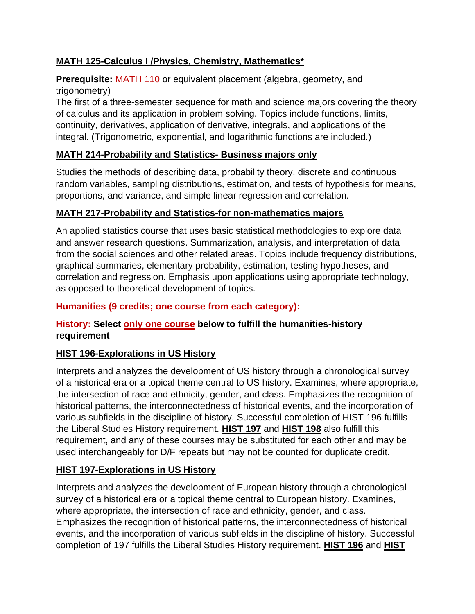# **MATH 125-Calculus I /Physics, Chemistry, Mathematics\***

# **Prerequisite:** [MATH](https://catalog.iup.edu/content.php?filter%5B27%5D=MATH&filter%5B29%5D=125&filter%5Bcourse_type%5D=-1&filter%5Bkeyword%5D=&filter%5B32%5D=1&filter%5Bcpage%5D=1&cur_cat_oid=6&expand=&navoid=841&search_database=Filter&filter%5Bexact_match%5D=1#tt5470) 110 or equivalent placement (algebra, geometry, and trigonometry)

The first of a three-semester sequence for math and science majors covering the theory of calculus and its application in problem solving. Topics include functions, limits, continuity, derivatives, application of derivative, integrals, and applications of the integral. (Trigonometric, exponential, and logarithmic functions are included.)

# **MATH 214-Probability and Statistics- Business majors only**

Studies the methods of describing data, probability theory, discrete and continuous random variables, sampling distributions, estimation, and tests of hypothesis for means, proportions, and variance, and simple linear regression and correlation.

### **MATH 217-Probability and Statistics-for non-mathematics majors**

An applied statistics course that uses basic statistical methodologies to explore data and answer research questions. Summarization, analysis, and interpretation of data from the social sciences and other related areas. Topics include frequency distributions, graphical summaries, elementary probability, estimation, testing hypotheses, and correlation and regression. Emphasis upon applications using appropriate technology, as opposed to theoretical development of topics.

### **Humanities (9 credits; one course from each category):**

#### **History: Select only one course below to fulfill the humanities-history requirement**

#### **HIST 196-Explorations in US History**

Interprets and analyzes the development of US history through a chronological survey of a historical era or a topical theme central to US history. Examines, where appropriate, the intersection of race and ethnicity, gender, and class. Emphasizes the recognition of historical patterns, the interconnectedness of historical events, and the incorporation of various subfields in the discipline of history. Successful completion of HIST 196 fulfills the Liberal Studies History requirement. **[HIST](https://catalog.iup.edu/content.php?filter%5B27%5D=HIST&filter%5B29%5D=196&filter%5Bcourse_type%5D=-1&filter%5Bkeyword%5D=&filter%5B32%5D=1&filter%5Bcpage%5D=1&cur_cat_oid=6&expand=&navoid=841&search_database=Filter&filter%5Bexact_match%5D=1#tt4213) 197** and **[HIST](https://catalog.iup.edu/content.php?filter%5B27%5D=HIST&filter%5B29%5D=196&filter%5Bcourse_type%5D=-1&filter%5Bkeyword%5D=&filter%5B32%5D=1&filter%5Bcpage%5D=1&cur_cat_oid=6&expand=&navoid=841&search_database=Filter&filter%5Bexact_match%5D=1#tt7588) 198** also fulfill this requirement, and any of these courses may be substituted for each other and may be used interchangeably for D/F repeats but may not be counted for duplicate credit.

#### **HIST 197-Explorations in US History**

Interprets and analyzes the development of European history through a chronological survey of a historical era or a topical theme central to European history. Examines, where appropriate, the intersection of race and ethnicity, gender, and class. Emphasizes the recognition of historical patterns, the interconnectedness of historical events, and the incorporation of various subfields in the discipline of history. Successful completion of 197 fulfills the Liberal Studies History requirement. **[HIST](https://catalog.iup.edu/content.php?filter%5B27%5D=HIST&filter%5B29%5D=197&filter%5Bcourse_type%5D=-1&filter%5Bkeyword%5D=&filter%5B32%5D=1&filter%5Bcpage%5D=1&cur_cat_oid=6&expand=&navoid=841&search_database=Filter&filter%5Bexact_match%5D=1#tt3480) 196** and **[HIST](https://catalog.iup.edu/content.php?filter%5B27%5D=HIST&filter%5B29%5D=197&filter%5Bcourse_type%5D=-1&filter%5Bkeyword%5D=&filter%5B32%5D=1&filter%5Bcpage%5D=1&cur_cat_oid=6&expand=&navoid=841&search_database=Filter&filter%5Bexact_match%5D=1#tt1292)**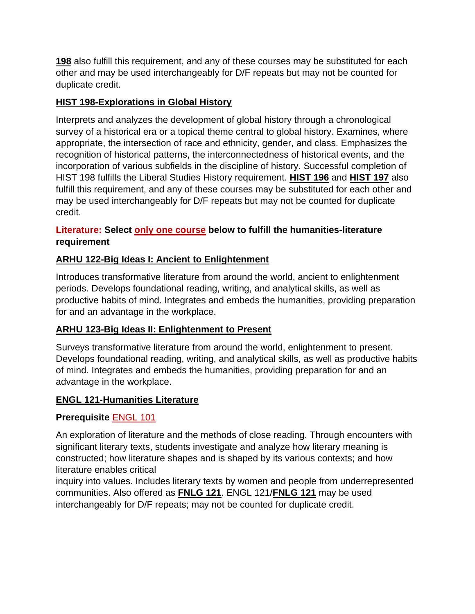**[198](https://catalog.iup.edu/content.php?filter%5B27%5D=HIST&filter%5B29%5D=197&filter%5Bcourse_type%5D=-1&filter%5Bkeyword%5D=&filter%5B32%5D=1&filter%5Bcpage%5D=1&cur_cat_oid=6&expand=&navoid=841&search_database=Filter&filter%5Bexact_match%5D=1#tt1292)** also fulfill this requirement, and any of these courses may be substituted for each other and may be used interchangeably for D/F repeats but may not be counted for duplicate credit.

### **HIST 198-Explorations in Global History**

Interprets and analyzes the development of global history through a chronological survey of a historical era or a topical theme central to global history. Examines, where appropriate, the intersection of race and ethnicity, gender, and class. Emphasizes the recognition of historical patterns, the interconnectedness of historical events, and the incorporation of various subfields in the discipline of history. Successful completion of HIST 198 fulfills the Liberal Studies History requirement. **[HIST](https://catalog.iup.edu/content.php?filter%5B27%5D=HIST&filter%5B29%5D=198&filter%5Bcourse_type%5D=-1&filter%5Bkeyword%5D=&filter%5B32%5D=1&filter%5Bcpage%5D=1&cur_cat_oid=6&expand=&navoid=841&search_database=Filter&filter%5Bexact_match%5D=1#tt3051) 196** and **[HIST](https://catalog.iup.edu/content.php?filter%5B27%5D=HIST&filter%5B29%5D=198&filter%5Bcourse_type%5D=-1&filter%5Bkeyword%5D=&filter%5B32%5D=1&filter%5Bcpage%5D=1&cur_cat_oid=6&expand=&navoid=841&search_database=Filter&filter%5Bexact_match%5D=1#tt4986) 197** also fulfill this requirement, and any of these courses may be substituted for each other and may be used interchangeably for D/F repeats but may not be counted for duplicate credit.

### **Literature: Select only one course below to fulfill the humanities-literature requirement**

# **ARHU 122-Big Ideas I: Ancient to Enlightenment**

Introduces transformative literature from around the world, ancient to enlightenment periods. Develops foundational reading, writing, and analytical skills, as well as productive habits of mind. Integrates and embeds the humanities, providing preparation for and an advantage in the workplace.

# **ARHU 123-Big Ideas II: Enlightenment to Present**

Surveys transformative literature from around the world, enlightenment to present. Develops foundational reading, writing, and analytical skills, as well as productive habits of mind. Integrates and embeds the humanities, providing preparation for and an advantage in the workplace.

# **ENGL 121-Humanities Literature**

# **Prerequisite** ENGL 101

An exploration of literature and the methods of close reading. Through encounters with significant literary texts, students investigate and analyze how literary meaning is constructed; how literature shapes and is shaped by its various contexts; and how literature enables critical

inquiry into values. Includes literary texts by women and people from underrepresented communities. Also offered as **[FNLG](https://catalog.iup.edu/content.php?filter%5B27%5D=ENGL&filter%5B29%5D=121&filter%5Bcourse_type%5D=-1&filter%5Bkeyword%5D=&filter%5B32%5D=1&filter%5Bcpage%5D=1&cur_cat_oid=6&expand=&navoid=841&search_database=Filter&filter%5Bexact_match%5D=1#tt1444) 121**. ENGL 121/**[FNLG](https://catalog.iup.edu/content.php?filter%5B27%5D=ENGL&filter%5B29%5D=121&filter%5Bcourse_type%5D=-1&filter%5Bkeyword%5D=&filter%5B32%5D=1&filter%5Bcpage%5D=1&cur_cat_oid=6&expand=&navoid=841&search_database=Filter&filter%5Bexact_match%5D=1#tt8059) 121** may be used interchangeably for D/F repeats; may not be counted for duplicate credit.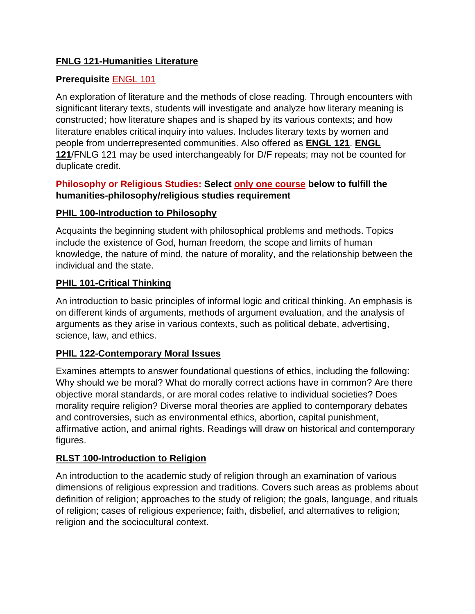### **FNLG 121-Humanities Literature**

### **Prerequisite** ENGL 101

An exploration of literature and the methods of close reading. Through encounters with significant literary texts, students will investigate and analyze how literary meaning is constructed; how literature shapes and is shaped by its various contexts; and how literature enables critical inquiry into values. Includes literary texts by women and people from underrepresented communities. Also offered as **[ENGL](https://catalog.iup.edu/content.php?filter%5B27%5D=FNLG&filter%5B29%5D=121&filter%5Bcourse_type%5D=-1&filter%5Bkeyword%5D=&filter%5B32%5D=1&filter%5Bcpage%5D=1&cur_cat_oid=6&expand=&navoid=841&search_database=Filter&filter%5Bexact_match%5D=1#tt1609) 121**. **[ENGL](https://catalog.iup.edu/preview_course_nopop.php?catoid=6&coid=20956) [121](https://catalog.iup.edu/preview_course_nopop.php?catoid=6&coid=20956)**/FNLG 121 may be used interchangeably for D/F repeats; may not be counted for duplicate credit.

### **Philosophy or Religious Studies: Select only one course below to fulfill the humanities-philosophy/religious studies requirement**

### **PHIL 100-Introduction to Philosophy**

Acquaints the beginning student with philosophical problems and methods. Topics include the existence of God, human freedom, the scope and limits of human knowledge, the nature of mind, the nature of morality, and the relationship between the individual and the state.

#### **PHIL 101-Critical Thinking**

An introduction to basic principles of informal logic and critical thinking. An emphasis is on different kinds of arguments, methods of argument evaluation, and the analysis of arguments as they arise in various contexts, such as political debate, advertising, science, law, and ethics.

# **PHIL 122-Contemporary Moral Issues**

Examines attempts to answer foundational questions of ethics, including the following: Why should we be moral? What do morally correct actions have in common? Are there objective moral standards, or are moral codes relative to individual societies? Does morality require religion? Diverse moral theories are applied to contemporary debates and controversies, such as environmental ethics, abortion, capital punishment, affirmative action, and animal rights. Readings will draw on historical and contemporary figures.

# **RLST 100-Introduction to Religion**

An introduction to the academic study of religion through an examination of various dimensions of religious expression and traditions. Covers such areas as problems about definition of religion; approaches to the study of religion; the goals, language, and rituals of religion; cases of religious experience; faith, disbelief, and alternatives to religion; religion and the sociocultural context.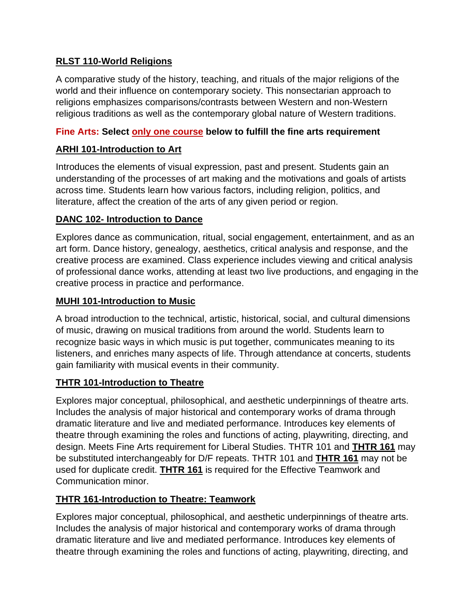### **RLST 110-World Religions**

A comparative study of the history, teaching, and rituals of the major religions of the world and their influence on contemporary society. This nonsectarian approach to religions emphasizes comparisons/contrasts between Western and non-Western religious traditions as well as the contemporary global nature of Western traditions.

### **Fine Arts: Select only one course below to fulfill the fine arts requirement**

### **ARHI 101-Introduction to Art**

Introduces the elements of visual expression, past and present. Students gain an understanding of the processes of art making and the motivations and goals of artists across time. Students learn how various factors, including religion, politics, and literature, affect the creation of the arts of any given period or region.

### **DANC 102- Introduction to Dance**

Explores dance as communication, ritual, social engagement, entertainment, and as an art form. Dance history, genealogy, aesthetics, critical analysis and response, and the creative process are examined. Class experience includes viewing and critical analysis of professional dance works, attending at least two live productions, and engaging in the creative process in practice and performance.

#### **MUHI 101-Introduction to Music**

A broad introduction to the technical, artistic, historical, social, and cultural dimensions of music, drawing on musical traditions from around the world. Students learn to recognize basic ways in which music is put together, communicates meaning to its listeners, and enriches many aspects of life. Through attendance at concerts, students gain familiarity with musical events in their community.

# **THTR 101-Introduction to Theatre**

Explores major conceptual, philosophical, and aesthetic underpinnings of theatre arts. Includes the analysis of major historical and contemporary works of drama through dramatic literature and live and mediated performance. Introduces key elements of theatre through examining the roles and functions of acting, playwriting, directing, and design. Meets Fine Arts requirement for Liberal Studies. THTR 101 and **[THTR](https://catalog.iup.edu/preview_course_nopop.php?catoid=6&coid=22200) 161** may be substituted interchangeably for D/F repeats. THTR 101 and **[THTR](https://catalog.iup.edu/preview_course_nopop.php?catoid=6&coid=22200) 161** may not be used for duplicate credit. **[THTR](https://catalog.iup.edu/preview_course_nopop.php?catoid=6&coid=22200) 161** is required for the Effective Teamwork and Communication minor.

#### **THTR 161-Introduction to Theatre: Teamwork**

Explores major conceptual, philosophical, and aesthetic underpinnings of theatre arts. Includes the analysis of major historical and contemporary works of drama through dramatic literature and live and mediated performance. Introduces key elements of theatre through examining the roles and functions of acting, playwriting, directing, and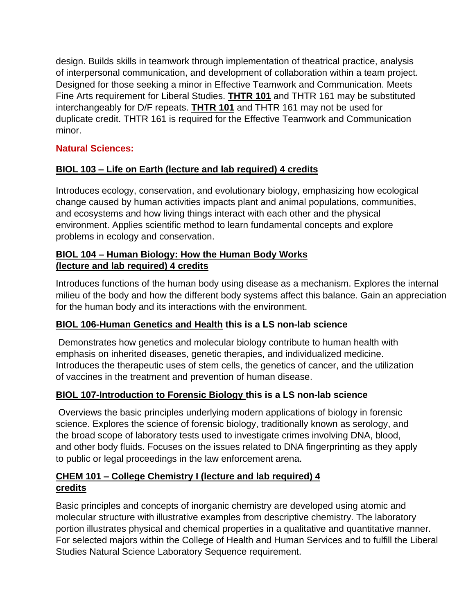design. Builds skills in teamwork through implementation of theatrical practice, analysis of interpersonal communication, and development of collaboration within a team project. Designed for those seeking a minor in Effective Teamwork and Communication. Meets Fine Arts requirement for Liberal Studies. **[THTR](https://catalog.iup.edu/preview_course_nopop.php?catoid=6&coid=22191) 101** and THTR 161 may be substituted interchangeably for D/F repeats. **[THTR](https://catalog.iup.edu/preview_course_nopop.php?catoid=6&coid=22191) 101** and THTR 161 may not be used for duplicate credit. THTR 161 is required for the Effective Teamwork and Communication minor.

# **Natural Sciences:**

# **BIOL 103 – Life on Earth (lecture and lab required) 4 credits**

Introduces ecology, conservation, and evolutionary biology, emphasizing how ecological change caused by human activities impacts plant and animal populations, communities, and ecosystems and how living things interact with each other and the physical environment. Applies scientific method to learn fundamental concepts and explore problems in ecology and conservation.

### **BIOL 104 – Human Biology: How the Human Body Works (lecture and lab required) 4 credits**

Introduces functions of the human body using disease as a mechanism. Explores the internal milieu of the body and how the different body systems affect this balance. Gain an appreciation for the human body and its interactions with the environment.

#### **BIOL 106-Human Genetics and Health this is a LS non-lab science**

Demonstrates how genetics and molecular biology contribute to human health with emphasis on inherited diseases, genetic therapies, and individualized medicine. Introduces the therapeutic uses of stem cells, the genetics of cancer, and the utilization of vaccines in the treatment and prevention of human disease.

#### **BIOL 107-Introduction to Forensic Biology this is a LS non-lab science**

Overviews the basic principles underlying modern applications of biology in forensic science. Explores the science of forensic biology, traditionally known as serology, and the broad scope of laboratory tests used to investigate crimes involving DNA, blood, and other body fluids. Focuses on the issues related to DNA fingerprinting as they apply to public or legal proceedings in the law enforcement arena.

#### **CHEM 101 – College Chemistry I (lecture and lab required) 4 credits**

Basic principles and concepts of inorganic chemistry are developed using atomic and molecular structure with illustrative examples from descriptive chemistry. The laboratory portion illustrates physical and chemical properties in a qualitative and quantitative manner. For selected majors within the College of Health and Human Services and to fulfill the Liberal Studies Natural Science Laboratory Sequence requirement.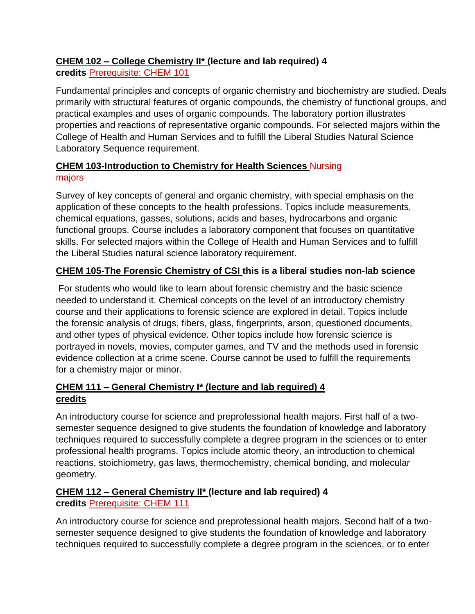# **CHEM 102 – College Chemistry II\* (lecture and lab required) 4**

**credits** Prerequisite: CHEM 101

Fundamental principles and concepts of organic chemistry and biochemistry are studied. Deals primarily with structural features of organic compounds, the chemistry of functional groups, and practical examples and uses of organic compounds. The laboratory portion illustrates properties and reactions of representative organic compounds. For selected majors within the College of Health and Human Services and to fulfill the Liberal Studies Natural Science Laboratory Sequence requirement.

# **CHEM 103-Introduction to Chemistry for Health Sciences** Nursing majors

Survey of key concepts of general and organic chemistry, with special emphasis on the application of these concepts to the health professions. Topics include measurements, chemical equations, gasses, solutions, acids and bases, hydrocarbons and organic functional groups. Course includes a laboratory component that focuses on quantitative skills. For selected majors within the College of Health and Human Services and to fulfill the Liberal Studies natural science laboratory requirement.

# **CHEM 105-The Forensic Chemistry of CSI this is a liberal studies non-lab science**

For students who would like to learn about forensic chemistry and the basic science needed to understand it. Chemical concepts on the level of an introductory chemistry course and their applications to forensic science are explored in detail. Topics include the forensic analysis of drugs, fibers, glass, fingerprints, arson, questioned documents, and other types of physical evidence. Other topics include how forensic science is portrayed in novels, movies, computer games, and TV and the methods used in forensic evidence collection at a crime scene. Course cannot be used to fulfill the requirements for a chemistry major or minor.

# **CHEM 111 – General Chemistry I\* (lecture and lab required) 4 credits**

An introductory course for science and preprofessional health majors. First half of a twosemester sequence designed to give students the foundation of knowledge and laboratory techniques required to successfully complete a degree program in the sciences or to enter professional health programs. Topics include atomic theory, an introduction to chemical reactions, stoichiometry, gas laws, thermochemistry, chemical bonding, and molecular geometry.

# **CHEM 112 – General Chemistry II\* (lecture and lab required) 4 credits** Prerequisite: CHEM 111

An introductory course for science and preprofessional health majors. Second half of a twosemester sequence designed to give students the foundation of knowledge and laboratory techniques required to successfully complete a degree program in the sciences, or to enter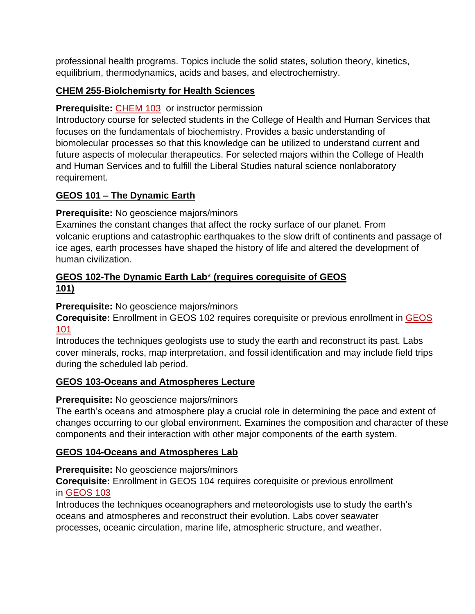professional health programs. Topics include the solid states, solution theory, kinetics, equilibrium, thermodynamics, acids and bases, and electrochemistry.

### **CHEM 255-Biolchemisrty for Health Sciences**

### **Prerequisite:** [CHEM](https://catalog.iup.edu/content.php?filter%5B27%5D=CHEM&filter%5B29%5D=255&filter%5Bcourse_type%5D=-1&filter%5Bkeyword%5D=&filter%5B32%5D=1&filter%5Bcpage%5D=1&cur_cat_oid=6&expand=&navoid=841&search_database=Filter&filter%5Bexact_match%5D=1#tt1351) 103 or instructor permission

Introductory course for selected students in the College of Health and Human Services that focuses on the fundamentals of biochemistry. Provides a basic understanding of biomolecular processes so that this knowledge can be utilized to understand current and future aspects of molecular therapeutics. For selected majors within the College of Health and Human Services and to fulfill the Liberal Studies natural science nonlaboratory requirement.

### **GEOS 101 – The Dynamic Earth**

### **Prerequisite:** No geoscience majors/minors

Examines the constant changes that affect the rocky surface of our planet. From volcanic eruptions and catastrophic earthquakes to the slow drift of continents and passage of ice ages, earth processes have shaped the history of life and altered the development of human civilization.

#### **GEOS 102-The Dynamic Earth Lab**\* **(requires corequisite of GEOS 101)**

#### **Prerequisite:** No geoscience majors/minors

**Corequisite:** Enrollment in GEOS 102 requires corequisite or previous enrollment in [GEOS](https://catalog.iup.edu/content.php?filter%5B27%5D=GEOS&filter%5B29%5D=&filter%5Bcourse_type%5D=-1&filter%5Bkeyword%5D=&filter%5B32%5D=1&filter%5Bcpage%5D=1&cur_cat_oid=6&expand=&navoid=841&search_database=Filter&filter%5Bexact_match%5D=1#tt6581) [101](https://catalog.iup.edu/content.php?filter%5B27%5D=GEOS&filter%5B29%5D=&filter%5Bcourse_type%5D=-1&filter%5Bkeyword%5D=&filter%5B32%5D=1&filter%5Bcpage%5D=1&cur_cat_oid=6&expand=&navoid=841&search_database=Filter&filter%5Bexact_match%5D=1#tt6581)

Introduces the techniques geologists use to study the earth and reconstruct its past. Labs cover minerals, rocks, map interpretation, and fossil identification and may include field trips during the scheduled lab period.

#### **[GEOS 103-Oceans and Atmospheres Lecture](https://catalog.iup.edu/content.php?filter%5B27%5D=GEOS&filter%5B29%5D=103&filter%5Bcourse_type%5D=-1&filter%5Bkeyword%5D=&filter%5B32%5D=1&filter%5Bcpage%5D=1&cur_cat_oid=6&expand=&navoid=841&search_database=Filter&filter%5Bexact_match%5D=1#acalog_template_course_filter)**

#### **Prerequisite:** No geoscience majors/minors

The earth's oceans and atmosphere play a crucial role in determining the pace and extent of changes occurring to our global environment. Examines the composition and character of these components and their interaction with other major components of the earth system.

#### **GEOS 104-Oceans and Atmospheres Lab**

**Prerequisite:** No geoscience majors/minors

**Corequisite:** Enrollment in GEOS 104 requires corequisite or previous enrollment in [GEOS](https://catalog.iup.edu/content.php?filter%5B27%5D=GEOS&filter%5B29%5D=&filter%5Bcourse_type%5D=-1&filter%5Bkeyword%5D=&filter%5B32%5D=1&filter%5Bcpage%5D=1&cur_cat_oid=6&expand=&navoid=841&search_database=Filter&filter%5Bexact_match%5D=1#tt1150) 103

Introduces the techniques oceanographers and meteorologists use to study the earth's oceans and atmospheres and reconstruct their evolution. Labs cover seawater processes, oceanic circulation, marine life, atmospheric structure, and weather.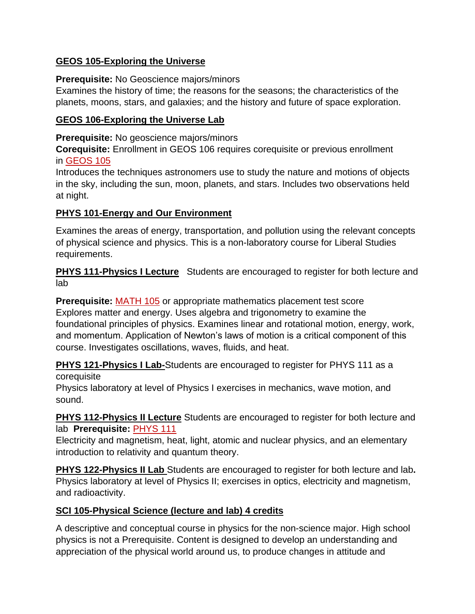### **GEOS 105-Exploring the Universe**

#### **Prerequisite:** No Geoscience majors/minors

Examines the history of time; the reasons for the seasons; the characteristics of the planets, moons, stars, and galaxies; and the history and future of space exploration.

#### **GEOS 106-Exploring the Universe Lab**

**Prerequisite:** No geoscience majors/minors

**Corequisite:** Enrollment in GEOS 106 requires corequisite or previous enrollment in [GEOS](https://catalog.iup.edu/content.php?filter%5B27%5D=GEOS&filter%5B29%5D=&filter%5Bcourse_type%5D=-1&filter%5Bkeyword%5D=&filter%5B32%5D=1&filter%5Bcpage%5D=1&cur_cat_oid=6&expand=&navoid=841&search_database=Filter&filter%5Bexact_match%5D=1#tt1716) 105

Introduces the techniques astronomers use to study the nature and motions of objects in the sky, including the sun, moon, planets, and stars. Includes two observations held at night.

### **PHYS 101-Energy and Our Environment**

Examines the areas of energy, transportation, and pollution using the relevant concepts of physical science and physics. This is a non-laboratory course for Liberal Studies requirements.

**PHYS 111-Physics I Lecture** Students are encouraged to register for both lecture and lab

**Prerequisite:** [MATH](https://catalog.iup.edu/preview_course_nopop.php?catoid=6&coid=21550) 105 or appropriate mathematics placement test score Explores matter and energy. Uses algebra and trigonometry to examine the foundational principles of physics. Examines linear and rotational motion, energy, work, and momentum. Application of Newton's laws of motion is a critical component of this course. Investigates oscillations, waves, fluids, and heat.

**PHYS 121-Physics I Lab-**Students are encouraged to register for PHYS 111 as a corequisite

Physics laboratory at level of Physics I exercises in mechanics, wave motion, and sound.

**PHYS 112-Physics II Lecture** Students are encouraged to register for both lecture and lab **Prerequisite:** [PHYS](https://catalog.iup.edu/content.php?filter%5B27%5D=PHYS&filter%5B29%5D=&filter%5Bcourse_type%5D=-1&filter%5Bkeyword%5D=&filter%5B32%5D=1&filter%5Bcpage%5D=1&cur_cat_oid=6&expand=&navoid=841&search_database=Filter&filter%5Bexact_match%5D=1#tt2465) 111

Electricity and magnetism, heat, light, atomic and nuclear physics, and an elementary introduction to relativity and quantum theory.

**PHYS 122-Physics II Lab** Students are encouraged to register for both lecture and lab**.** Physics laboratory at level of Physics II; exercises in optics, electricity and magnetism, and radioactivity.

# **SCI 105-Physical Science (lecture and lab) 4 credits**

A descriptive and conceptual course in physics for the non-science major. High school physics is not a Prerequisite. Content is designed to develop an understanding and appreciation of the physical world around us, to produce changes in attitude and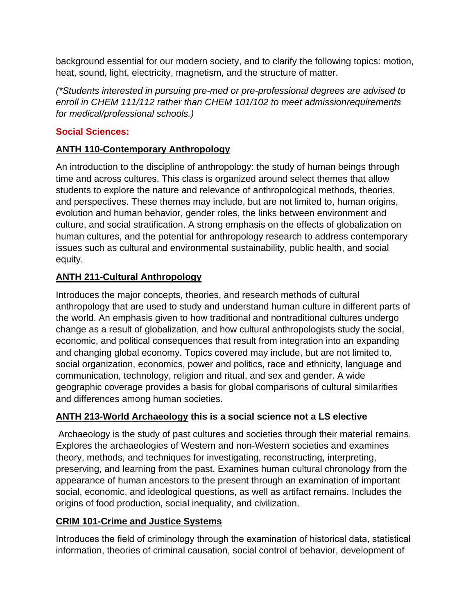background essential for our modern society, and to clarify the following topics: motion, heat, sound, light, electricity, magnetism, and the structure of matter.

*(\*Students interested in pursuing pre-med or pre-professional degrees are advised to enroll in CHEM 111/112 rather than CHEM 101/102 to meet admissionrequirements for medical/professional schools.)*

### **Social Sciences:**

# **ANTH 110-Contemporary Anthropology**

An introduction to the discipline of anthropology: the study of human beings through time and across cultures. This class is organized around select themes that allow students to explore the nature and relevance of anthropological methods, theories, and perspectives. These themes may include, but are not limited to, human origins, evolution and human behavior, gender roles, the links between environment and culture, and social stratification. A strong emphasis on the effects of globalization on human cultures, and the potential for anthropology research to address contemporary issues such as cultural and environmental sustainability, public health, and social equity.

# **ANTH 211-Cultural Anthropology**

Introduces the major concepts, theories, and research methods of cultural anthropology that are used to study and understand human culture in different parts of the world. An emphasis given to how traditional and nontraditional cultures undergo change as a result of globalization, and how cultural anthropologists study the social, economic, and political consequences that result from integration into an expanding and changing global economy. Topics covered may include, but are not limited to, social organization, economics, power and politics, race and ethnicity, language and communication, technology, religion and ritual, and sex and gender. A wide geographic coverage provides a basis for global comparisons of cultural similarities and differences among human societies.

# **ANTH 213-World Archaeology this is a social science not a LS elective**

Archaeology is the study of past cultures and societies through their material remains. Explores the archaeologies of Western and non-Western societies and examines theory, methods, and techniques for investigating, reconstructing, interpreting, preserving, and learning from the past. Examines human cultural chronology from the appearance of human ancestors to the present through an examination of important social, economic, and ideological questions, as well as artifact remains. Includes the origins of food production, social inequality, and civilization.

# **CRIM 101-Crime and Justice Systems**

Introduces the field of criminology through the examination of historical data, statistical information, theories of criminal causation, social control of behavior, development of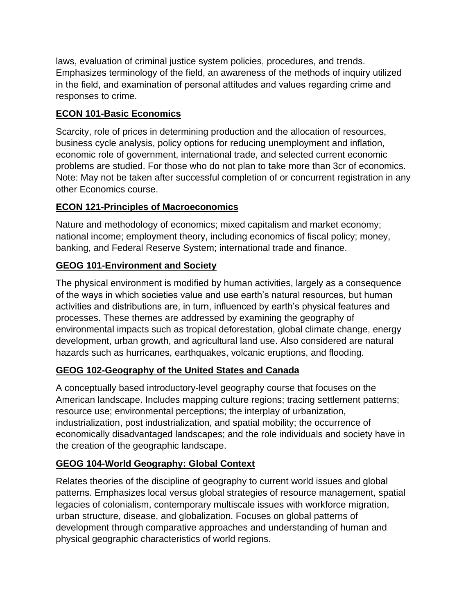laws, evaluation of criminal justice system policies, procedures, and trends. Emphasizes terminology of the field, an awareness of the methods of inquiry utilized in the field, and examination of personal attitudes and values regarding crime and responses to crime.

# **ECON 101-Basic Economics**

Scarcity, role of prices in determining production and the allocation of resources, business cycle analysis, policy options for reducing unemployment and inflation, economic role of government, international trade, and selected current economic problems are studied. For those who do not plan to take more than 3cr of economics. Note: May not be taken after successful completion of or concurrent registration in any other Economics course.

### **ECON 121-Principles of Macroeconomics**

Nature and methodology of economics; mixed capitalism and market economy; national income; employment theory, including economics of fiscal policy; money, banking, and Federal Reserve System; international trade and finance.

### **GEOG 101-Environment and Society**

The physical environment is modified by human activities, largely as a consequence of the ways in which societies value and use earth's natural resources, but human activities and distributions are, in turn, influenced by earth's physical features and processes. These themes are addressed by examining the geography of environmental impacts such as tropical deforestation, global climate change, energy development, urban growth, and agricultural land use. Also considered are natural hazards such as hurricanes, earthquakes, volcanic eruptions, and flooding.

# **GEOG 102-Geography of the United States and Canada**

A conceptually based introductory-level geography course that focuses on the American landscape. Includes mapping culture regions; tracing settlement patterns; resource use; environmental perceptions; the interplay of urbanization, industrialization, post industrialization, and spatial mobility; the occurrence of economically disadvantaged landscapes; and the role individuals and society have in the creation of the geographic landscape.

# **GEOG 104-World Geography: Global Context**

Relates theories of the discipline of geography to current world issues and global patterns. Emphasizes local versus global strategies of resource management, spatial legacies of colonialism, contemporary multiscale issues with workforce migration, urban structure, disease, and globalization. Focuses on global patterns of development through comparative approaches and understanding of human and physical geographic characteristics of world regions.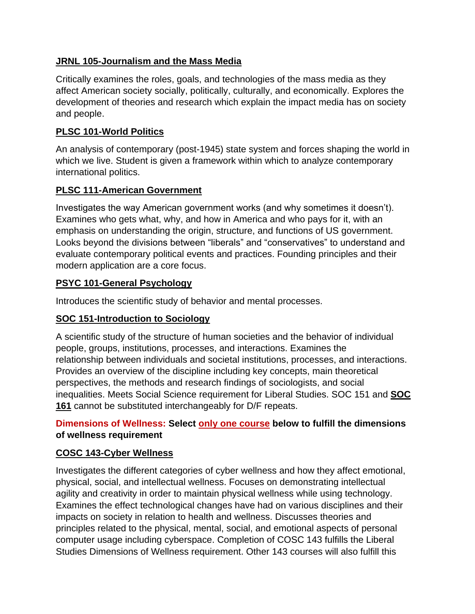### **JRNL 105-Journalism and the Mass Media**

Critically examines the roles, goals, and technologies of the mass media as they affect American society socially, politically, culturally, and economically. Explores the development of theories and research which explain the impact media has on society and people.

### **PLSC 101-World Politics**

An analysis of contemporary (post-1945) state system and forces shaping the world in which we live. Student is given a framework within which to analyze contemporary international politics.

### **PLSC 111-American Government**

Investigates the way American government works (and why sometimes it doesn't). Examines who gets what, why, and how in America and who pays for it, with an emphasis on understanding the origin, structure, and functions of US government. Looks beyond the divisions between "liberals" and "conservatives" to understand and evaluate contemporary political events and practices. Founding principles and their modern application are a core focus.

### **PSYC 101-General Psychology**

Introduces the scientific study of behavior and mental processes.

# **SOC 151-Introduction to Sociology**

A scientific study of the structure of human societies and the behavior of individual people, groups, institutions, processes, and interactions. Examines the relationship between individuals and societal institutions, processes, and interactions. Provides an overview of the discipline including key concepts, main theoretical perspectives, the methods and research findings of sociologists, and social inequalities. Meets Social Science requirement for Liberal Studies. SOC 151 and **[SOC](https://catalog.iup.edu/content.php?filter%5B27%5D=SOC&filter%5B29%5D=&filter%5Bcourse_type%5D=-1&filter%5Bkeyword%5D=&filter%5B32%5D=1&filter%5Bcpage%5D=1&cur_cat_oid=6&expand=&navoid=841&search_database=Filter&filter%5Bexact_match%5D=1#tt8805) [161](https://catalog.iup.edu/content.php?filter%5B27%5D=SOC&filter%5B29%5D=&filter%5Bcourse_type%5D=-1&filter%5Bkeyword%5D=&filter%5B32%5D=1&filter%5Bcpage%5D=1&cur_cat_oid=6&expand=&navoid=841&search_database=Filter&filter%5Bexact_match%5D=1#tt8805)** cannot be substituted interchangeably for D/F repeats.

### **Dimensions of Wellness: Select only one course below to fulfill the dimensions of wellness requirement**

# **COSC 143-Cyber Wellness**

Investigates the different categories of cyber wellness and how they affect emotional, physical, social, and intellectual wellness. Focuses on demonstrating intellectual agility and creativity in order to maintain physical wellness while using technology. Examines the effect technological changes have had on various disciplines and their impacts on society in relation to health and wellness. Discusses theories and principles related to the physical, mental, social, and emotional aspects of personal computer usage including cyberspace. Completion of COSC 143 fulfills the Liberal Studies Dimensions of Wellness requirement. Other 143 courses will also fulfill this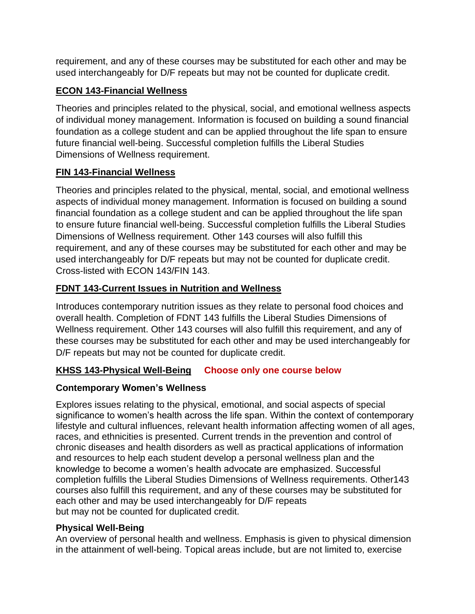requirement, and any of these courses may be substituted for each other and may be used interchangeably for D/F repeats but may not be counted for duplicate credit.

### **ECON 143-Financial Wellness**

Theories and principles related to the physical, social, and emotional wellness aspects of individual money management. Information is focused on building a sound financial foundation as a college student and can be applied throughout the life span to ensure future financial well-being. Successful completion fulfills the Liberal Studies Dimensions of Wellness requirement.

# **FIN 143-Financial Wellness**

Theories and principles related to the physical, mental, social, and emotional wellness aspects of individual money management. Information is focused on building a sound financial foundation as a college student and can be applied throughout the life span to ensure future financial well-being. Successful completion fulfills the Liberal Studies Dimensions of Wellness requirement. Other 143 courses will also fulfill this requirement, and any of these courses may be substituted for each other and may be used interchangeably for D/F repeats but may not be counted for duplicate credit. Cross-listed with ECON 143/FIN 143.

# **FDNT 143-Current Issues in Nutrition and Wellness**

Introduces contemporary nutrition issues as they relate to personal food choices and overall health. Completion of FDNT 143 fulfills the Liberal Studies Dimensions of Wellness requirement. Other 143 courses will also fulfill this requirement, and any of these courses may be substituted for each other and may be used interchangeably for D/F repeats but may not be counted for duplicate credit.

# **KHSS 143-Physical Well-Being Choose only one course below**

# **Contemporary Women's Wellness**

Explores issues relating to the physical, emotional, and social aspects of special significance to women's health across the life span. Within the context of contemporary lifestyle and cultural influences, relevant health information affecting women of all ages, races, and ethnicities is presented. Current trends in the prevention and control of chronic diseases and health disorders as well as practical applications of information and resources to help each student develop a personal wellness plan and the knowledge to become a women's health advocate are emphasized. Successful completion fulfills the Liberal Studies Dimensions of Wellness requirements. Other143 courses also fulfill this requirement, and any of these courses may be substituted for each other and may be used interchangeably for D/F repeats but may not be counted for duplicated credit.

#### **Physical Well-Being**

An overview of personal health and wellness. Emphasis is given to physical dimension in the attainment of well-being. Topical areas include, but are not limited to, exercise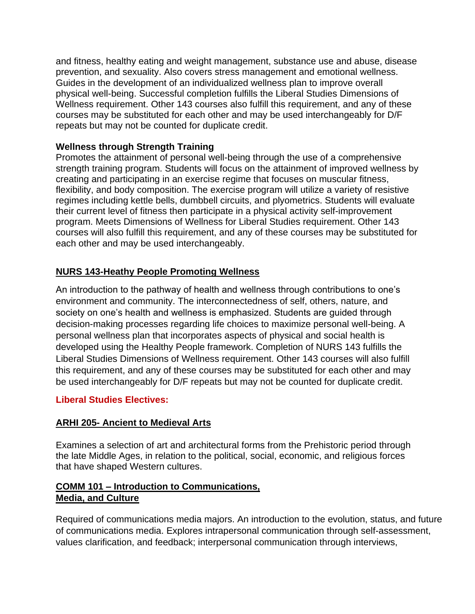and fitness, healthy eating and weight management, substance use and abuse, disease prevention, and sexuality. Also covers stress management and emotional wellness. Guides in the development of an individualized wellness plan to improve overall physical well-being. Successful completion fulfills the Liberal Studies Dimensions of Wellness requirement. Other 143 courses also fulfill this requirement, and any of these courses may be substituted for each other and may be used interchangeably for D/F repeats but may not be counted for duplicate credit.

#### **Wellness through Strength Training**

Promotes the attainment of personal well-being through the use of a comprehensive strength training program. Students will focus on the attainment of improved wellness by creating and participating in an exercise regime that focuses on muscular fitness, flexibility, and body composition. The exercise program will utilize a variety of resistive regimes including kettle bells, dumbbell circuits, and plyometrics. Students will evaluate their current level of fitness then participate in a physical activity self-improvement program. Meets Dimensions of Wellness for Liberal Studies requirement. Other 143 courses will also fulfill this requirement, and any of these courses may be substituted for each other and may be used interchangeably.

# **NURS 143-Heathy People Promoting Wellness**

An introduction to the pathway of health and wellness through contributions to one's environment and community. The interconnectedness of self, others, nature, and society on one's health and wellness is emphasized. Students are guided through decision-making processes regarding life choices to maximize personal well-being. A personal wellness plan that incorporates aspects of physical and social health is developed using the Healthy People framework. Completion of NURS 143 fulfills the Liberal Studies Dimensions of Wellness requirement. Other 143 courses will also fulfill this requirement, and any of these courses may be substituted for each other and may be used interchangeably for D/F repeats but may not be counted for duplicate credit.

#### **Liberal Studies Electives:**

#### **ARHI 205- Ancient to Medieval Arts**

Examines a selection of art and architectural forms from the Prehistoric period through the late Middle Ages, in relation to the political, social, economic, and religious forces that have shaped Western cultures.

#### **COMM 101 – Introduction to Communications, Media, and Culture**

Required of communications media majors. An introduction to the evolution, status, and future of communications media. Explores intrapersonal communication through self-assessment, values clarification, and feedback; interpersonal communication through interviews,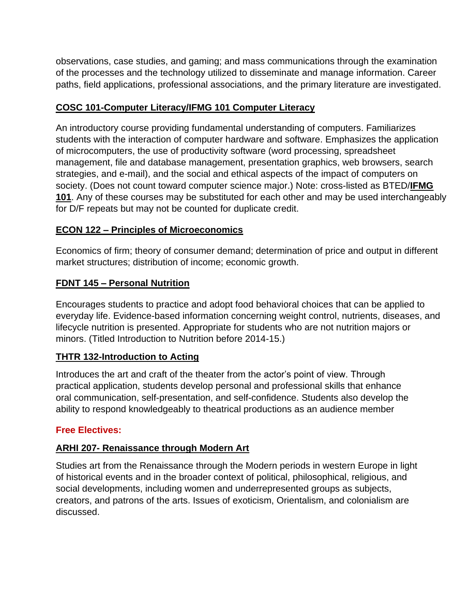observations, case studies, and gaming; and mass communications through the examination of the processes and the technology utilized to disseminate and manage information. Career paths, field applications, professional associations, and the primary literature are investigated.

### **COSC 101-Computer Literacy/IFMG 101 Computer Literacy**

An introductory course providing fundamental understanding of computers. Familiarizes students with the interaction of computer hardware and software. Emphasizes the application of microcomputers, the use of productivity software (word processing, spreadsheet management, file and database management, presentation graphics, web browsers, search strategies, and e-mail), and the social and ethical aspects of the impact of computers on society. (Does not count toward computer science major.) Note: cross-listed as BTED/**[IFMG](https://catalog.iup.edu/content.php?filter%5B27%5D=COSC&filter%5B29%5D=101&filter%5Bcourse_type%5D=-1&filter%5Bkeyword%5D=&filter%5B32%5D=1&filter%5Bcpage%5D=1&cur_cat_oid=6&expand=&navoid=841&search_database=Filter&filter%5Bexact_match%5D=1#tt9498) [101](https://catalog.iup.edu/content.php?filter%5B27%5D=COSC&filter%5B29%5D=101&filter%5Bcourse_type%5D=-1&filter%5Bkeyword%5D=&filter%5B32%5D=1&filter%5Bcpage%5D=1&cur_cat_oid=6&expand=&navoid=841&search_database=Filter&filter%5Bexact_match%5D=1#tt9498)**. Any of these courses may be substituted for each other and may be used interchangeably for D/F repeats but may not be counted for duplicate credit.

### **ECON 122 – Principles of Microeconomics**

Economics of firm; theory of consumer demand; determination of price and output in different market structures; distribution of income; economic growth.

### **FDNT 145 – Personal Nutrition**

Encourages students to practice and adopt food behavioral choices that can be applied to everyday life. Evidence-based information concerning weight control, nutrients, diseases, and lifecycle nutrition is presented. Appropriate for students who are not nutrition majors or minors. (Titled Introduction to Nutrition before 2014-15.)

#### **THTR 132-Introduction to Acting**

Introduces the art and craft of the theater from the actor's point of view. Through practical application, students develop personal and professional skills that enhance oral communication, self-presentation, and self-confidence. Students also develop the ability to respond knowledgeably to theatrical productions as an audience member

#### **Free Electives:**

# **ARHI 207- Renaissance through Modern Art**

Studies art from the Renaissance through the Modern periods in western Europe in light of historical events and in the broader context of political, philosophical, religious, and social developments, including women and underrepresented groups as subjects, creators, and patrons of the arts. Issues of exoticism, Orientalism, and colonialism are discussed.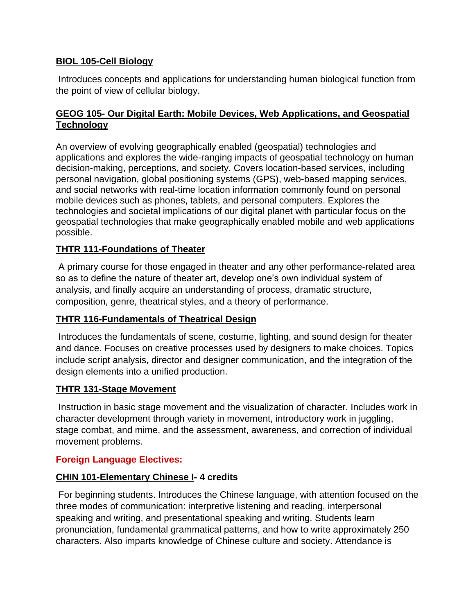#### **BIOL 105-Cell Biology**

Introduces concepts and applications for understanding human biological function from the point of view of cellular biology.

#### **GEOG 105- Our Digital Earth: Mobile Devices, Web Applications, and Geospatial Technology**

An overview of evolving geographically enabled (geospatial) technologies and applications and explores the wide-ranging impacts of geospatial technology on human decision-making, perceptions, and society. Covers location-based services, including personal navigation, global positioning systems (GPS), web-based mapping services, and social networks with real-time location information commonly found on personal mobile devices such as phones, tablets, and personal computers. Explores the technologies and societal implications of our digital planet with particular focus on the geospatial technologies that make geographically enabled mobile and web applications possible.

#### **THTR 111-Foundations of Theater**

A primary course for those engaged in theater and any other performance-related area so as to define the nature of theater art, develop one's own individual system of analysis, and finally acquire an understanding of process, dramatic structure, composition, genre, theatrical styles, and a theory of performance.

#### **THTR 116-Fundamentals of Theatrical Design**

Introduces the fundamentals of scene, costume, lighting, and sound design for theater and dance. Focuses on creative processes used by designers to make choices. Topics include script analysis, director and designer communication, and the integration of the design elements into a unified production.

#### **THTR 131-Stage Movement**

Instruction in basic stage movement and the visualization of character. Includes work in character development through variety in movement, introductory work in juggling, stage combat, and mime, and the assessment, awareness, and correction of individual movement problems.

#### **Foreign Language Electives:**

#### **CHIN 101-Elementary Chinese I- 4 credits**

For beginning students. Introduces the Chinese language, with attention focused on the three modes of communication: interpretive listening and reading, interpersonal speaking and writing, and presentational speaking and writing. Students learn pronunciation, fundamental grammatical patterns, and how to write approximately 250 characters. Also imparts knowledge of Chinese culture and society. Attendance is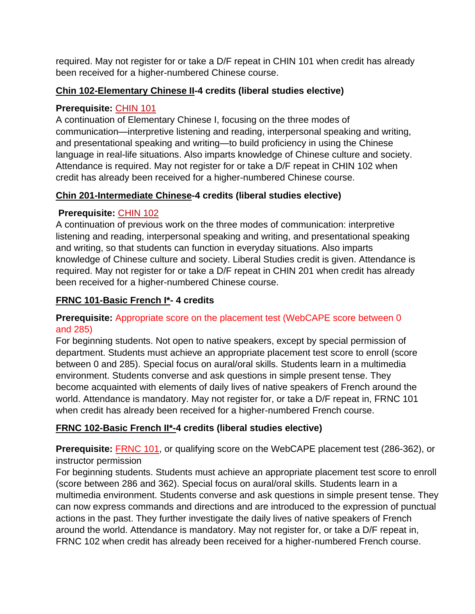required. May not register for or take a D/F repeat in CHIN 101 when credit has already been received for a higher-numbered Chinese course.

### **Chin 102-Elementary Chinese II-4 credits (liberal studies elective)**

# **Prerequisite:** [CHIN](https://catalog.iup.edu/content.php?filter%5B27%5D=CHIN&filter%5B29%5D=&filter%5Bcourse_type%5D=-1&filter%5Bkeyword%5D=&filter%5B32%5D=1&filter%5Bcpage%5D=1&cur_cat_oid=6&expand=&navoid=841&search_database=Filter&filter%5Bexact_match%5D=1#tt4271) 101

A continuation of Elementary Chinese I, focusing on the three modes of communication—interpretive listening and reading, interpersonal speaking and writing, and presentational speaking and writing—to build proficiency in using the Chinese language in real-life situations. Also imparts knowledge of Chinese culture and society. Attendance is required. May not register for or take a D/F repeat in CHIN 102 when credit has already been received for a higher-numbered Chinese course.

### **Chin 201-Intermediate Chinese-4 credits (liberal studies elective)**

### **Prerequisite:** [CHIN](https://catalog.iup.edu/content.php?filter%5B27%5D=CHIN&filter%5B29%5D=&filter%5Bcourse_type%5D=-1&filter%5Bkeyword%5D=&filter%5B32%5D=1&filter%5Bcpage%5D=1&cur_cat_oid=6&expand=&navoid=841&search_database=Filter&filter%5Bexact_match%5D=1#tt2184) 102

A continuation of previous work on the three modes of communication: interpretive listening and reading, interpersonal speaking and writing, and presentational speaking and writing, so that students can function in everyday situations. Also imparts knowledge of Chinese culture and society. Liberal Studies credit is given. Attendance is required. May not register for or take a D/F repeat in CHIN 201 when credit has already been received for a higher-numbered Chinese course.

# **FRNC 101-Basic French I\*- 4 credits**

### **Prerequisite:** Appropriate score on the placement test (WebCAPE score between 0 and 285)

For beginning students. Not open to native speakers, except by special permission of department. Students must achieve an appropriate placement test score to enroll (score between 0 and 285). Special focus on aural/oral skills. Students learn in a multimedia environment. Students converse and ask questions in simple present tense. They become acquainted with elements of daily lives of native speakers of French around the world. Attendance is mandatory. May not register for, or take a D/F repeat in, FRNC 101 when credit has already been received for a higher-numbered French course.

# **FRNC 102-Basic French II\*-4 credits (liberal studies elective)**

**Prerequisite:** [FRNC](https://catalog.iup.edu/content.php?filter%5B27%5D=FRNC&filter%5B29%5D=&filter%5Bcourse_type%5D=-1&filter%5Bkeyword%5D=&filter%5B32%5D=1&filter%5Bcpage%5D=1&cur_cat_oid=6&expand=&navoid=841&search_database=Filter&filter%5Bexact_match%5D=1#tt6276) 101, or qualifying score on the WebCAPE placement test (286-362), or instructor permission

For beginning students. Students must achieve an appropriate placement test score to enroll (score between 286 and 362). Special focus on aural/oral skills. Students learn in a multimedia environment. Students converse and ask questions in simple present tense. They can now express commands and directions and are introduced to the expression of punctual actions in the past. They further investigate the daily lives of native speakers of French around the world. Attendance is mandatory. May not register for, or take a D/F repeat in, FRNC 102 when credit has already been received for a higher-numbered French course.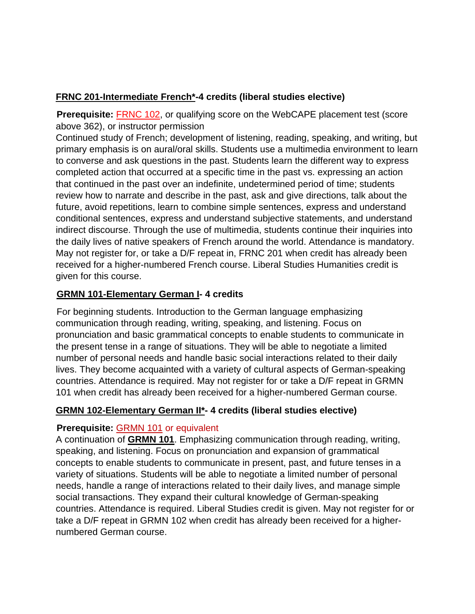#### **FRNC 201-Intermediate French\*-4 credits (liberal studies elective)**

**Prerequisite:** [FRNC](https://catalog.iup.edu/content.php?filter%5B27%5D=FRNC&filter%5B29%5D=&filter%5Bcourse_type%5D=-1&filter%5Bkeyword%5D=&filter%5B32%5D=1&filter%5Bcpage%5D=1&cur_cat_oid=6&expand=&navoid=841&search_database=Filter&filter%5Bexact_match%5D=1#tt3889) 102, or qualifying score on the WebCAPE placement test (score above 362), or instructor permission

Continued study of French; development of listening, reading, speaking, and writing, but primary emphasis is on aural/oral skills. Students use a multimedia environment to learn to converse and ask questions in the past. Students learn the different way to express completed action that occurred at a specific time in the past vs. expressing an action that continued in the past over an indefinite, undetermined period of time; students review how to narrate and describe in the past, ask and give directions, talk about the future, avoid repetitions, learn to combine simple sentences, express and understand conditional sentences, express and understand subjective statements, and understand indirect discourse. Through the use of multimedia, students continue their inquiries into the daily lives of native speakers of French around the world. Attendance is mandatory. May not register for, or take a D/F repeat in, FRNC 201 when credit has already been received for a higher-numbered French course. Liberal Studies Humanities credit is given for this course.

#### **GRMN 101-Elementary German I- 4 credits**

For beginning students. Introduction to the German language emphasizing communication through reading, writing, speaking, and listening. Focus on pronunciation and basic grammatical concepts to enable students to communicate in the present tense in a range of situations. They will be able to negotiate a limited number of personal needs and handle basic social interactions related to their daily lives. They become acquainted with a variety of cultural aspects of German-speaking countries. Attendance is required. May not register for or take a D/F repeat in GRMN 101 when credit has already been received for a higher-numbered German course.

#### **GRMN 102-Elementary German II\*- 4 credits (liberal studies elective)**

#### **Prerequisite:** [GRMN](https://catalog.iup.edu/content.php?filter%5B27%5D=GRMN&filter%5B29%5D=&filter%5Bcourse_type%5D=-1&filter%5Bkeyword%5D=&filter%5B32%5D=1&filter%5Bcpage%5D=1&cur_cat_oid=6&expand=&navoid=841&search_database=Filter&filter%5Bexact_match%5D=1#tt8737) 101 or equivalent

A continuation of **[GRMN](https://catalog.iup.edu/content.php?filter%5B27%5D=GRMN&filter%5B29%5D=&filter%5Bcourse_type%5D=-1&filter%5Bkeyword%5D=&filter%5B32%5D=1&filter%5Bcpage%5D=1&cur_cat_oid=6&expand=&navoid=841&search_database=Filter&filter%5Bexact_match%5D=1#tt3078) 101**. Emphasizing communication through reading, writing, speaking, and listening. Focus on pronunciation and expansion of grammatical concepts to enable students to communicate in present, past, and future tenses in a variety of situations. Students will be able to negotiate a limited number of personal needs, handle a range of interactions related to their daily lives, and manage simple social transactions. They expand their cultural knowledge of German-speaking countries. Attendance is required. Liberal Studies credit is given. May not register for or take a D/F repeat in GRMN 102 when credit has already been received for a highernumbered German course.